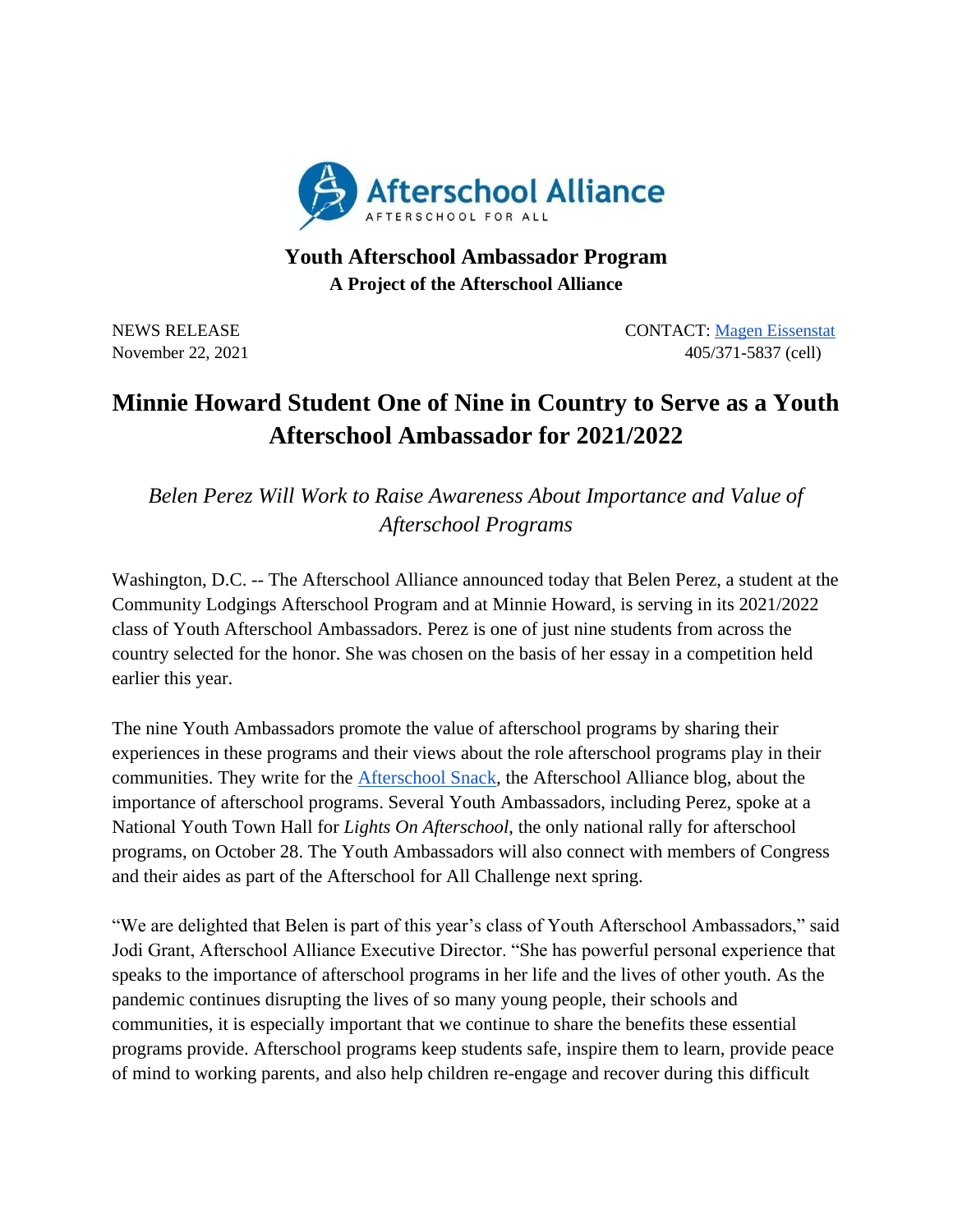

## **Youth Afterschool Ambassador Program A Project of the Afterschool Alliance**

NEWS RELEASE CONTACT: [Magen Eissenstat](mailto:magen@prsolutionsdc.com) November 22, 2021 405/371-5837 (cell)

## **Minnie Howard Student One of Nine in Country to Serve as a Youth Afterschool Ambassador for 2021/2022**

*Belen Perez Will Work to Raise Awareness About Importance and Value of Afterschool Programs*

Washington, D.C. -- The Afterschool Alliance announced today that Belen Perez, a student at the Community Lodgings Afterschool Program and at Minnie Howard, is serving in its 2021/2022 class of Youth Afterschool Ambassadors. Perez is one of just nine students from across the country selected for the honor. She was chosen on the basis of her essay in a competition held earlier this year.

The nine Youth Ambassadors promote the value of afterschool programs by sharing their experiences in these programs and their views about the role afterschool programs play in their communities. They write for the [Afterschool Snack,](http://www.afterschoolalliance.org/afterschoolsnack/ASnack.cfm) the Afterschool Alliance blog, about the importance of afterschool programs. Several Youth Ambassadors, including Perez, spoke at a National Youth Town Hall for *Lights On Afterschool*, the only national rally for afterschool programs, on October 28. The Youth Ambassadors will also connect with members of Congress and their aides as part of the Afterschool for All Challenge next spring.

"We are delighted that Belen is part of this year's class of Youth Afterschool Ambassadors," said Jodi Grant, Afterschool Alliance Executive Director. "She has powerful personal experience that speaks to the importance of afterschool programs in her life and the lives of other youth. As the pandemic continues disrupting the lives of so many young people, their schools and communities, it is especially important that we continue to share the benefits these essential programs provide. Afterschool programs keep students safe, inspire them to learn, provide peace of mind to working parents, and also help children re-engage and recover during this difficult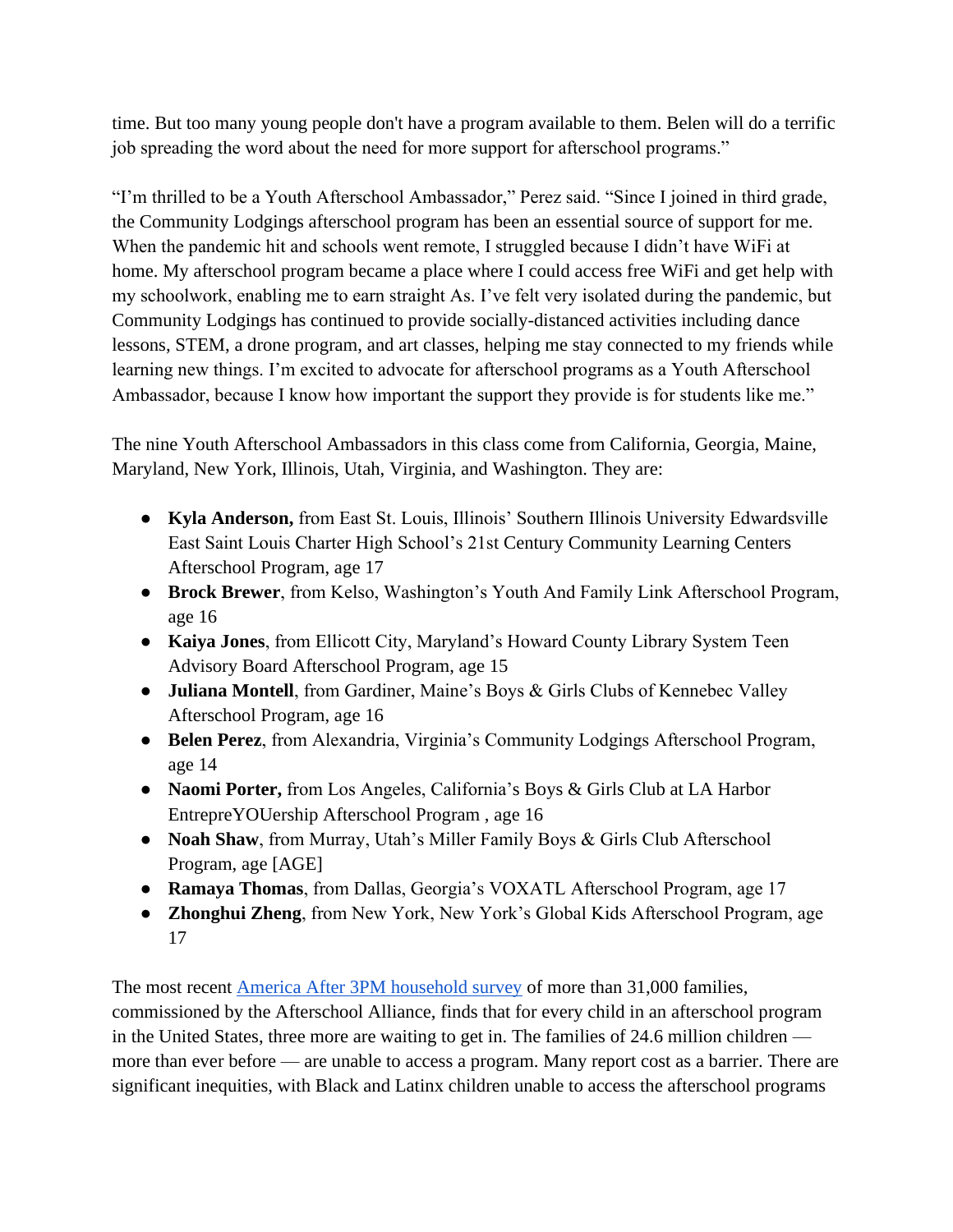time. But too many young people don't have a program available to them. Belen will do a terrific job spreading the word about the need for more support for afterschool programs."

"I'm thrilled to be a Youth Afterschool Ambassador," Perez said. "Since I joined in third grade, the Community Lodgings afterschool program has been an essential source of support for me. When the pandemic hit and schools went remote, I struggled because I didn't have WiFi at home. My afterschool program became a place where I could access free WiFi and get help with my schoolwork, enabling me to earn straight As. I've felt very isolated during the pandemic, but Community Lodgings has continued to provide socially-distanced activities including dance lessons, STEM, a drone program, and art classes, helping me stay connected to my friends while learning new things. I'm excited to advocate for afterschool programs as a Youth Afterschool Ambassador, because I know how important the support they provide is for students like me."

The nine Youth Afterschool Ambassadors in this class come from California, Georgia, Maine, Maryland, New York, Illinois, Utah, Virginia, and Washington. They are:

- **Kyla Anderson,** from East St. Louis, Illinois' Southern Illinois University Edwardsville East Saint Louis Charter High School's 21st Century Community Learning Centers Afterschool Program, age 17
- **Brock Brewer**, from Kelso, Washington's Youth And Family Link Afterschool Program, age 16
- **Kaiya Jones**, from Ellicott City, Maryland's Howard County Library System Teen Advisory Board Afterschool Program, age 15
- **Juliana Montell**, from Gardiner, Maine's Boys & Girls Clubs of Kennebec Valley Afterschool Program, age 16
- **Belen Perez**, from Alexandria, Virginia's Community Lodgings Afterschool Program, age 14
- **Naomi Porter,** from Los Angeles, California's Boys & Girls Club at LA Harbor EntrepreYOUership Afterschool Program , age 16
- **Noah Shaw**, from Murray, Utah's Miller Family Boys & Girls Club Afterschool Program, age [AGE]
- **Ramaya Thomas**, from Dallas, Georgia's VOXATL Afterschool Program, age 17
- **Zhonghui Zheng**, from New York, New York's Global Kids Afterschool Program, age 17

The most recent [America After 3PM household survey](http://www.afterschoolalliance.org/AA3PM/) of more than 31,000 families, commissioned by the Afterschool Alliance, finds that for every child in an afterschool program in the United States, three more are waiting to get in. The families of 24.6 million children more than ever before — are unable to access a program. Many report cost as a barrier. There are significant inequities, with Black and Latinx children unable to access the afterschool programs